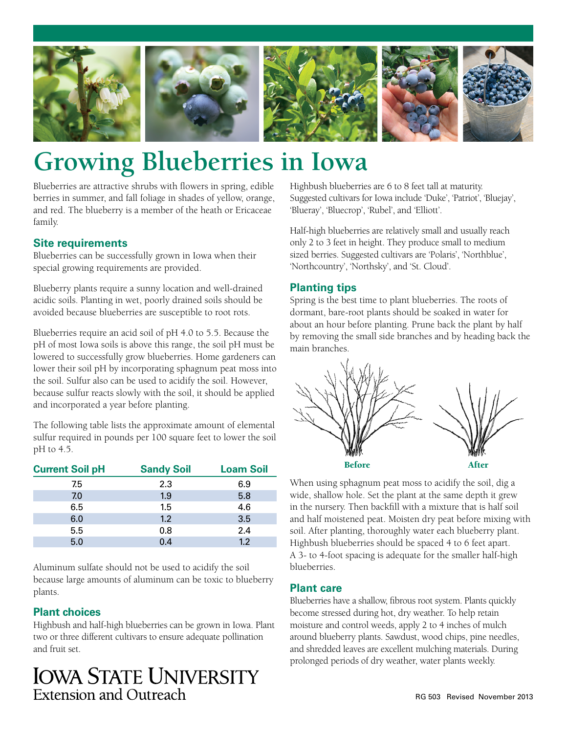

# **Growing Blueberries in Iowa**

Blueberries are attractive shrubs with flowers in spring, edible berries in summer, and fall foliage in shades of yellow, orange, and red. The blueberry is a member of the heath or Ericaceae family.

# **Site requirements**

Blueberries can be successfully grown in Iowa when their special growing requirements are provided.

Blueberry plants require a sunny location and well-drained acidic soils. Planting in wet, poorly drained soils should be avoided because blueberries are susceptible to root rots.

Blueberries require an acid soil of pH 4.0 to 5.5. Because the pH of most Iowa soils is above this range, the soil pH must be lowered to successfully grow blueberries. Home gardeners can lower their soil pH by incorporating sphagnum peat moss into the soil. Sulfur also can be used to acidify the soil. However, because sulfur reacts slowly with the soil, it should be applied and incorporated a year before planting.

The following table lists the approximate amount of elemental sulfur required in pounds per 100 square feet to lower the soil pH to 4.5.

| <b>Sandy Soil</b> | <b>Loam Soil</b> |
|-------------------|------------------|
| 2.3               | 6.9              |
| 1.9               | 5.8              |
| 1.5               | 4.6              |
| 1.2               | 3.5              |
| 0.8               | 2.4              |
| 0.4               | 1.2              |
|                   |                  |

Aluminum sulfate should not be used to acidify the soil because large amounts of aluminum can be toxic to blueberry plants.

# **Plant choices**

Highbush and half-high blueberries can be grown in Iowa. Plant two or three different cultivars to ensure adequate pollination and fruit set.

# **IOWA STATE UNIVERSITY** Extension and Outreach

Highbush blueberries are 6 to 8 feet tall at maturity. Suggested cultivars for Iowa include 'Duke', 'Patriot', 'Bluejay', 'Blueray', 'Bluecrop', 'Rubel', and 'Elliott'.

Half-high blueberries are relatively small and usually reach only 2 to 3 feet in height. They produce small to medium sized berries. Suggested cultivars are 'Polaris', 'Northblue', 'Northcountry', 'Northsky', and 'St. Cloud'.

# **Planting tips**

Spring is the best time to plant blueberries. The roots of dormant, bare-root plants should be soaked in water for about an hour before planting. Prune back the plant by half by removing the small side branches and by heading back the main branches.



When using sphagnum peat moss to acidify the soil, dig a wide, shallow hole. Set the plant at the same depth it grew in the nursery. Then backfill with a mixture that is half soil and half moistened peat. Moisten dry peat before mixing with soil. After planting, thoroughly water each blueberry plant. Highbush blueberries should be spaced 4 to 6 feet apart. A 3- to 4-foot spacing is adequate for the smaller half-high blueberries.

# **Plant care**

Blueberries have a shallow, fibrous root system. Plants quickly become stressed during hot, dry weather. To help retain moisture and control weeds, apply 2 to 4 inches of mulch around blueberry plants. Sawdust, wood chips, pine needles, and shredded leaves are excellent mulching materials. During prolonged periods of dry weather, water plants weekly.